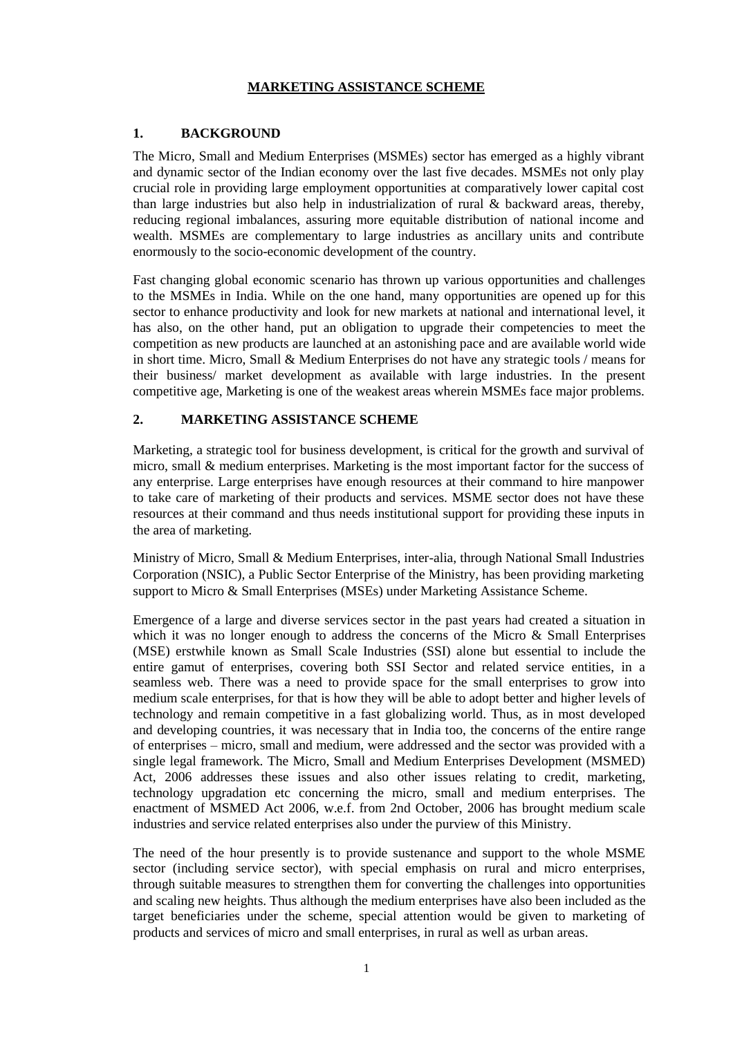### **MARKETING ASSISTANCE SCHEME**

## **1. BACKGROUND**

The Micro, Small and Medium Enterprises (MSMEs) sector has emerged as a highly vibrant and dynamic sector of the Indian economy over the last five decades. MSMEs not only play crucial role in providing large employment opportunities at comparatively lower capital cost than large industries but also help in industrialization of rural & backward areas, thereby, reducing regional imbalances, assuring more equitable distribution of national income and wealth. MSMEs are complementary to large industries as ancillary units and contribute enormously to the socio-economic development of the country.

Fast changing global economic scenario has thrown up various opportunities and challenges to the MSMEs in India. While on the one hand, many opportunities are opened up for this sector to enhance productivity and look for new markets at national and international level, it has also, on the other hand, put an obligation to upgrade their competencies to meet the competition as new products are launched at an astonishing pace and are available world wide in short time. Micro, Small & Medium Enterprises do not have any strategic tools / means for their business/ market development as available with large industries. In the present competitive age, Marketing is one of the weakest areas wherein MSMEs face major problems.

# **2. MARKETING ASSISTANCE SCHEME**

Marketing, a strategic tool for business development, is critical for the growth and survival of micro, small & medium enterprises. Marketing is the most important factor for the success of any enterprise. Large enterprises have enough resources at their command to hire manpower to take care of marketing of their products and services. MSME sector does not have these resources at their command and thus needs institutional support for providing these inputs in the area of marketing.

Ministry of Micro, Small & Medium Enterprises, inter-alia, through National Small Industries Corporation (NSIC), a Public Sector Enterprise of the Ministry, has been providing marketing support to Micro & Small Enterprises (MSEs) under Marketing Assistance Scheme.

Emergence of a large and diverse services sector in the past years had created a situation in which it was no longer enough to address the concerns of the Micro & Small Enterprises (MSE) erstwhile known as Small Scale Industries (SSI) alone but essential to include the entire gamut of enterprises, covering both SSI Sector and related service entities, in a seamless web. There was a need to provide space for the small enterprises to grow into medium scale enterprises, for that is how they will be able to adopt better and higher levels of technology and remain competitive in a fast globalizing world. Thus, as in most developed and developing countries, it was necessary that in India too, the concerns of the entire range of enterprises – micro, small and medium, were addressed and the sector was provided with a single legal framework. The Micro, Small and Medium Enterprises Development (MSMED) Act, 2006 addresses these issues and also other issues relating to credit, marketing, technology upgradation etc concerning the micro, small and medium enterprises. The enactment of MSMED Act 2006, w.e.f. from 2nd October, 2006 has brought medium scale industries and service related enterprises also under the purview of this Ministry.

The need of the hour presently is to provide sustenance and support to the whole MSME sector (including service sector), with special emphasis on rural and micro enterprises, through suitable measures to strengthen them for converting the challenges into opportunities and scaling new heights. Thus although the medium enterprises have also been included as the target beneficiaries under the scheme, special attention would be given to marketing of products and services of micro and small enterprises, in rural as well as urban areas.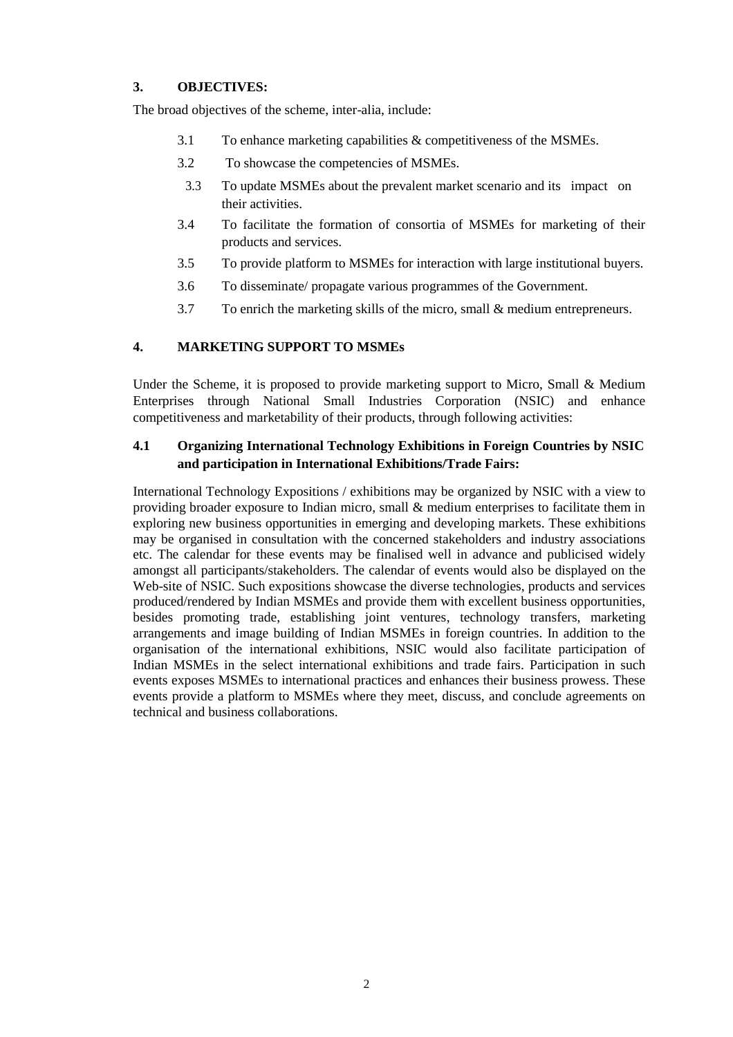# **3. OBJECTIVES:**

The broad objectives of the scheme, inter-alia, include:

- 3.1 To enhance marketing capabilities & competitiveness of the MSMEs.
- 3.2 To showcase the competencies of MSMEs.
- 3.3 To update MSMEs about the prevalent market scenario and its impact on their activities.
- 3.4 To facilitate the formation of consortia of MSMEs for marketing of their products and services.
- 3.5 To provide platform to MSMEs for interaction with large institutional buyers.
- 3.6 To disseminate/ propagate various programmes of the Government.
- 3.7 To enrich the marketing skills of the micro, small & medium entrepreneurs.

# **4. MARKETING SUPPORT TO MSMEs**

Under the Scheme, it is proposed to provide marketing support to Micro, Small & Medium Enterprises through National Small Industries Corporation (NSIC) and enhance competitiveness and marketability of their products, through following activities:

# **4.1 Organizing International Technology Exhibitions in Foreign Countries by NSIC and participation in International Exhibitions/Trade Fairs:**

International Technology Expositions / exhibitions may be organized by NSIC with a view to providing broader exposure to Indian micro, small & medium enterprises to facilitate them in exploring new business opportunities in emerging and developing markets. These exhibitions may be organised in consultation with the concerned stakeholders and industry associations etc. The calendar for these events may be finalised well in advance and publicised widely amongst all participants/stakeholders. The calendar of events would also be displayed on the Web-site of NSIC. Such expositions showcase the diverse technologies, products and services produced/rendered by Indian MSMEs and provide them with excellent business opportunities, besides promoting trade, establishing joint ventures, technology transfers, marketing arrangements and image building of Indian MSMEs in foreign countries. In addition to the organisation of the international exhibitions, NSIC would also facilitate participation of Indian MSMEs in the select international exhibitions and trade fairs. Participation in such events exposes MSMEs to international practices and enhances their business prowess. These events provide a platform to MSMEs where they meet, discuss, and conclude agreements on technical and business collaborations.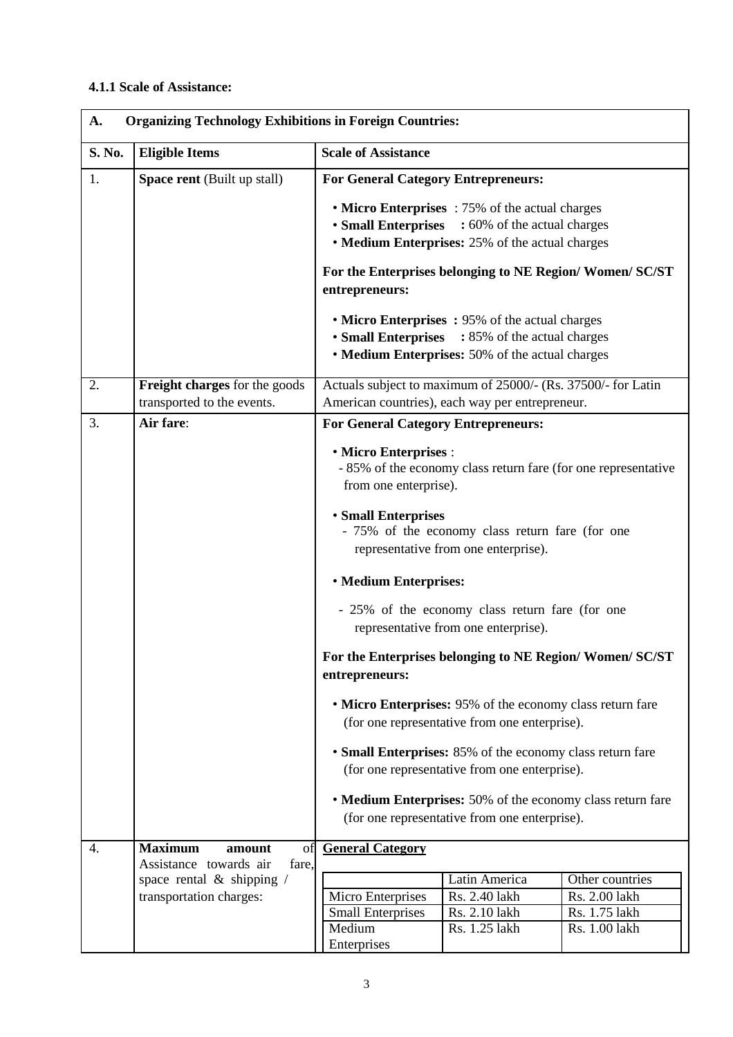# **4.1.1 Scale of Assistance:**

| <b>Organizing Technology Exhibitions in Foreign Countries:</b><br>A. |                                                                   |                                                                                                                                                                                                                           |                                |                                |  |
|----------------------------------------------------------------------|-------------------------------------------------------------------|---------------------------------------------------------------------------------------------------------------------------------------------------------------------------------------------------------------------------|--------------------------------|--------------------------------|--|
| S. No.                                                               | <b>Eligible Items</b>                                             | <b>Scale of Assistance</b>                                                                                                                                                                                                |                                |                                |  |
| 1.                                                                   | <b>Space rent</b> (Built up stall)                                | <b>For General Category Entrepreneurs:</b>                                                                                                                                                                                |                                |                                |  |
|                                                                      |                                                                   | • Micro Enterprises : 75% of the actual charges<br><b>• Small Enterprises</b><br>: 60% of the actual charges<br>• Medium Enterprises: 25% of the actual charges                                                           |                                |                                |  |
|                                                                      |                                                                   | For the Enterprises belonging to NE Region/Women/SC/ST<br>entrepreneurs:                                                                                                                                                  |                                |                                |  |
|                                                                      |                                                                   | • Micro Enterprises: 95% of the actual charges<br>• Small Enterprises : 85% of the actual charges<br>• Medium Enterprises: 50% of the actual charges                                                                      |                                |                                |  |
| 2.                                                                   | Freight charges for the goods<br>transported to the events.       | Actuals subject to maximum of 25000/- (Rs. 37500/- for Latin<br>American countries), each way per entrepreneur.                                                                                                           |                                |                                |  |
| 3.                                                                   | Air fare:                                                         | <b>For General Category Entrepreneurs:</b>                                                                                                                                                                                |                                |                                |  |
|                                                                      |                                                                   | • Micro Enterprises :<br>- 85% of the economy class return fare (for one representative<br>from one enterprise).                                                                                                          |                                |                                |  |
|                                                                      |                                                                   | <b>• Small Enterprises</b><br>- 75% of the economy class return fare (for one<br>representative from one enterprise).                                                                                                     |                                |                                |  |
|                                                                      |                                                                   | <b>• Medium Enterprises:</b>                                                                                                                                                                                              |                                |                                |  |
|                                                                      |                                                                   | - 25% of the economy class return fare (for one<br>representative from one enterprise).                                                                                                                                   |                                |                                |  |
|                                                                      |                                                                   | For the Enterprises belonging to NE Region/Women/SC/ST<br>entrepreneurs:                                                                                                                                                  |                                |                                |  |
|                                                                      |                                                                   | • Micro Enterprises: 95% of the economy class return fare<br>(for one representative from one enterprise).                                                                                                                |                                |                                |  |
|                                                                      |                                                                   | • Small Enterprises: 85% of the economy class return fare<br>(for one representative from one enterprise).<br>• Medium Enterprises: 50% of the economy class return fare<br>(for one representative from one enterprise). |                                |                                |  |
|                                                                      |                                                                   |                                                                                                                                                                                                                           |                                |                                |  |
| 4.                                                                   | <b>Maximum</b><br>amount<br>of<br>Assistance towards air<br>fare, | <b>General Category</b>                                                                                                                                                                                                   |                                |                                |  |
|                                                                      | space rental $\&$ shipping /                                      |                                                                                                                                                                                                                           | Latin America                  | Other countries                |  |
|                                                                      | transportation charges:                                           | Micro Enterprises                                                                                                                                                                                                         | Rs. 2.40 lakh                  | Rs. 2.00 lakh                  |  |
|                                                                      |                                                                   | <b>Small Enterprises</b><br>Medium<br>Enterprises                                                                                                                                                                         | Rs. 2.10 lakh<br>Rs. 1.25 lakh | Rs. 1.75 lakh<br>Rs. 1.00 lakh |  |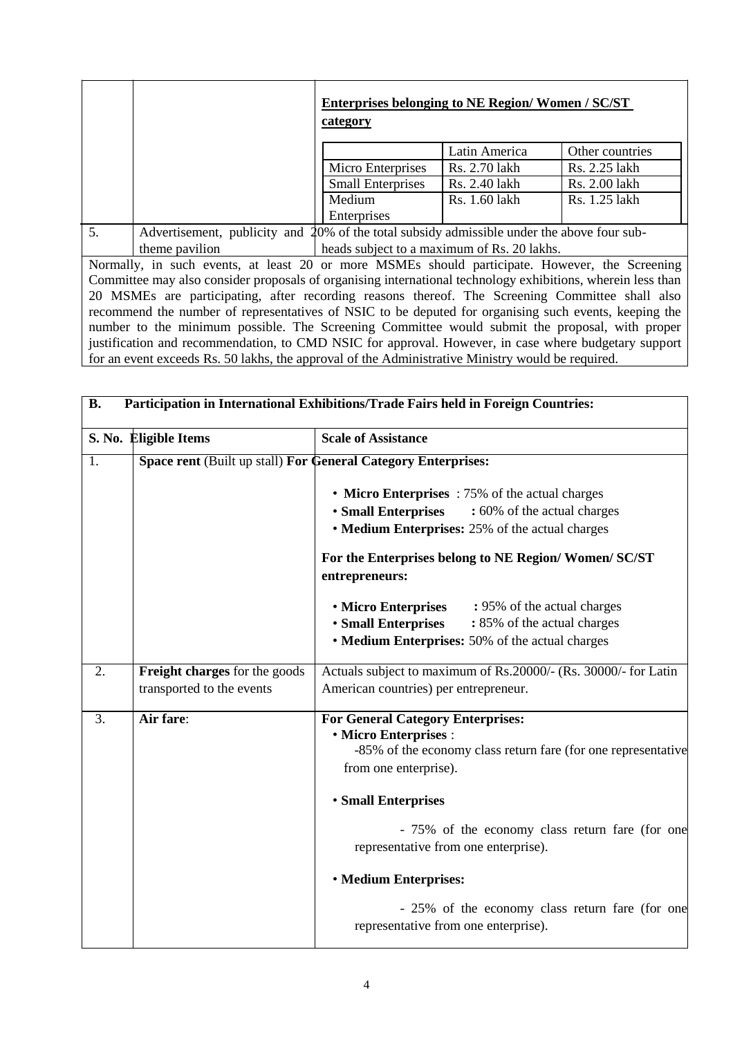|    |                                                                                            | <b>Enterprises belonging to NE Region/Women / SC/ST</b><br>category |               |                 |  |
|----|--------------------------------------------------------------------------------------------|---------------------------------------------------------------------|---------------|-----------------|--|
|    |                                                                                            |                                                                     | Latin America | Other countries |  |
|    |                                                                                            | Micro Enterprises                                                   | Rs. 2.70 lakh | Rs. 2.25 lakh   |  |
|    |                                                                                            | <b>Small Enterprises</b>                                            | Rs. 2.40 lakh | Rs. 2.00 lakh   |  |
|    |                                                                                            | Medium                                                              | Rs. 1.60 lakh | Rs. 1.25 lakh   |  |
|    |                                                                                            | Enterprises                                                         |               |                 |  |
| 5. | Advertisement, publicity and 20% of the total subsidy admissible under the above four sub- |                                                                     |               |                 |  |

theme pavilion heads subject to a maximum of Rs. 20 lakhs.

Normally, in such events, at least 20 or more MSMEs should participate. However, the Screening Committee may also consider proposals of organising international technology exhibitions, wherein less than 20 MSMEs are participating, after recording reasons thereof. The Screening Committee shall also recommend the number of representatives of NSIC to be deputed for organising such events, keeping the number to the minimum possible. The Screening Committee would submit the proposal, with proper justification and recommendation, to CMD NSIC for approval. However, in case where budgetary support for an event exceeds Rs. 50 lakhs, the approval of the Administrative Ministry would be required.

| Participation in International Exhibitions/Trade Fairs held in Foreign Countries:<br><b>B.</b> |                                                               |                                                                                                                                                                                                                                          |  |  |  |  |
|------------------------------------------------------------------------------------------------|---------------------------------------------------------------|------------------------------------------------------------------------------------------------------------------------------------------------------------------------------------------------------------------------------------------|--|--|--|--|
|                                                                                                | S. No. Eligible Items                                         | <b>Scale of Assistance</b>                                                                                                                                                                                                               |  |  |  |  |
| $\overline{1}$ .                                                                               | Space rent (Built up stall) For General Category Enterprises: |                                                                                                                                                                                                                                          |  |  |  |  |
|                                                                                                |                                                               | • Micro Enterprises : 75% of the actual charges<br><b>· Small Enterprises</b><br>: 60% of the actual charges<br>• Medium Enterprises: 25% of the actual charges<br>For the Enterprises belong to NE Region/Women/SC/ST<br>entrepreneurs: |  |  |  |  |
|                                                                                                |                                                               |                                                                                                                                                                                                                                          |  |  |  |  |
|                                                                                                |                                                               |                                                                                                                                                                                                                                          |  |  |  |  |
|                                                                                                |                                                               | • Micro Enterprises<br>: 95% of the actual charges<br><b>• Small Enterprises</b><br>: 85% of the actual charges<br>• Medium Enterprises: 50% of the actual charges                                                                       |  |  |  |  |
| 2.                                                                                             | Freight charges for the goods<br>transported to the events    | Actuals subject to maximum of Rs.20000/- (Rs. 30000/- for Latin<br>American countries) per entrepreneur.                                                                                                                                 |  |  |  |  |
| 3.                                                                                             | Air fare:                                                     | <b>For General Category Enterprises:</b><br>· Micro Enterprises :<br>-85% of the economy class return fare (for one representative<br>from one enterprise).                                                                              |  |  |  |  |
|                                                                                                |                                                               | <b>• Small Enterprises</b>                                                                                                                                                                                                               |  |  |  |  |
|                                                                                                |                                                               | - 75% of the economy class return fare (for one<br>representative from one enterprise).                                                                                                                                                  |  |  |  |  |
|                                                                                                |                                                               | <b>• Medium Enterprises:</b>                                                                                                                                                                                                             |  |  |  |  |
|                                                                                                |                                                               | - 25% of the economy class return fare (for one<br>representative from one enterprise).                                                                                                                                                  |  |  |  |  |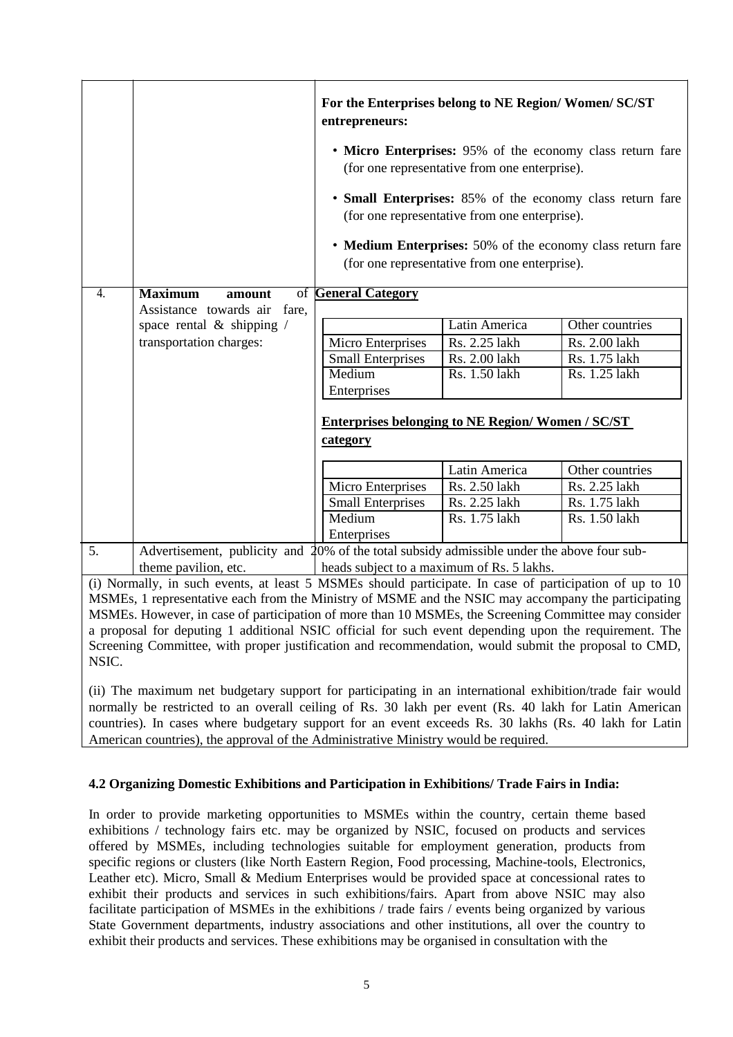|              |                                                                 | For the Enterprises belong to NE Region/Women/SC/ST<br>entrepreneurs:                                                                                                                                                                                                                                                                                                                                                                                                            |               |                 |  |  |
|--------------|-----------------------------------------------------------------|----------------------------------------------------------------------------------------------------------------------------------------------------------------------------------------------------------------------------------------------------------------------------------------------------------------------------------------------------------------------------------------------------------------------------------------------------------------------------------|---------------|-----------------|--|--|
|              |                                                                 | • Micro Enterprises: 95% of the economy class return fare<br>(for one representative from one enterprise).                                                                                                                                                                                                                                                                                                                                                                       |               |                 |  |  |
|              |                                                                 | • Small Enterprises: 85% of the economy class return fare<br>(for one representative from one enterprise).                                                                                                                                                                                                                                                                                                                                                                       |               |                 |  |  |
|              |                                                                 | • Medium Enterprises: 50% of the economy class return fare<br>(for one representative from one enterprise).                                                                                                                                                                                                                                                                                                                                                                      |               |                 |  |  |
| 4.           | <b>Maximum</b><br>of General Category<br>amount                 |                                                                                                                                                                                                                                                                                                                                                                                                                                                                                  |               |                 |  |  |
|              | Assistance towards air<br>fare,<br>space rental $\&$ shipping / |                                                                                                                                                                                                                                                                                                                                                                                                                                                                                  | Latin America | Other countries |  |  |
|              | transportation charges:                                         | Micro Enterprises                                                                                                                                                                                                                                                                                                                                                                                                                                                                | Rs. 2.25 lakh | Rs. 2.00 lakh   |  |  |
|              |                                                                 | <b>Small Enterprises</b>                                                                                                                                                                                                                                                                                                                                                                                                                                                         | Rs. 2.00 lakh | Rs. 1.75 lakh   |  |  |
|              |                                                                 | Medium                                                                                                                                                                                                                                                                                                                                                                                                                                                                           | Rs. 1.50 lakh | Rs. 1.25 lakh   |  |  |
|              |                                                                 | Enterprises                                                                                                                                                                                                                                                                                                                                                                                                                                                                      |               |                 |  |  |
|              | <b>Enterprises belonging to NE Region/Women / SC/ST</b>         |                                                                                                                                                                                                                                                                                                                                                                                                                                                                                  |               |                 |  |  |
|              |                                                                 | category                                                                                                                                                                                                                                                                                                                                                                                                                                                                         |               |                 |  |  |
|              |                                                                 |                                                                                                                                                                                                                                                                                                                                                                                                                                                                                  | Latin America | Other countries |  |  |
|              |                                                                 | Micro Enterprises                                                                                                                                                                                                                                                                                                                                                                                                                                                                | Rs. 2.50 lakh | Rs. 2.25 lakh   |  |  |
|              |                                                                 | <b>Small Enterprises</b>                                                                                                                                                                                                                                                                                                                                                                                                                                                         | Rs. 2.25 lakh | Rs. 1.75 lakh   |  |  |
|              |                                                                 | Medium                                                                                                                                                                                                                                                                                                                                                                                                                                                                           | Rs. 1.75 lakh | Rs. 1.50 lakh   |  |  |
|              |                                                                 | Enterprises                                                                                                                                                                                                                                                                                                                                                                                                                                                                      |               |                 |  |  |
| 5.           |                                                                 | Advertisement, publicity and 20% of the total subsidy admissible under the above four sub-                                                                                                                                                                                                                                                                                                                                                                                       |               |                 |  |  |
| $\mathbf{A}$ | theme pavilion, etc.<br>11                                      | heads subject to a maximum of Rs. 5 lakhs.<br>$\mathbf{r}$ and $\mathbf{r}$ and $\mathbf{r}$ and $\mathbf{r}$<br>$\mathcal{L}$ 1 $\mathcal{L}$ $\mathcal{L}$ $\mathcal{L}$ $\mathcal{L}$ $\mathcal{L}$ $\mathcal{L}$ $\mathcal{L}$ 1 1 $\mathcal{L}$ $\mathcal{L}$ $\mathcal{L}$ $\mathcal{L}$ $\mathcal{L}$ $\mathcal{L}$ $\mathcal{L}$ $\mathcal{L}$ $\mathcal{L}$ $\mathcal{L}$ $\mathcal{L}$ $\mathcal{L}$ $\mathcal{L}$ $\mathcal{L}$ $\mathcal{L}$ $\mathcal{L}$<br>$\sim$ |               |                 |  |  |

(i) Normally, in such events, at least 5 MSMEs should participate. In case of participation of up to 10 MSMEs, 1 representative each from the Ministry of MSME and the NSIC may accompany the participating MSMEs. However, in case of participation of more than 10 MSMEs, the Screening Committee may consider a proposal for deputing 1 additional NSIC official for such event depending upon the requirement. The Screening Committee, with proper justification and recommendation, would submit the proposal to CMD, NSIC.

(ii) The maximum net budgetary support for participating in an international exhibition/trade fair would normally be restricted to an overall ceiling of Rs. 30 lakh per event (Rs. 40 lakh for Latin American countries). In cases where budgetary support for an event exceeds Rs. 30 lakhs (Rs. 40 lakh for Latin American countries), the approval of the Administrative Ministry would be required.

# **4.2 Organizing Domestic Exhibitions and Participation in Exhibitions/ Trade Fairs in India:**

In order to provide marketing opportunities to MSMEs within the country, certain theme based exhibitions / technology fairs etc. may be organized by NSIC, focused on products and services offered by MSMEs, including technologies suitable for employment generation, products from specific regions or clusters (like North Eastern Region, Food processing, Machine-tools, Electronics, Leather etc). Micro, Small & Medium Enterprises would be provided space at concessional rates to exhibit their products and services in such exhibitions/fairs. Apart from above NSIC may also facilitate participation of MSMEs in the exhibitions / trade fairs / events being organized by various State Government departments, industry associations and other institutions, all over the country to exhibit their products and services. These exhibitions may be organised in consultation with the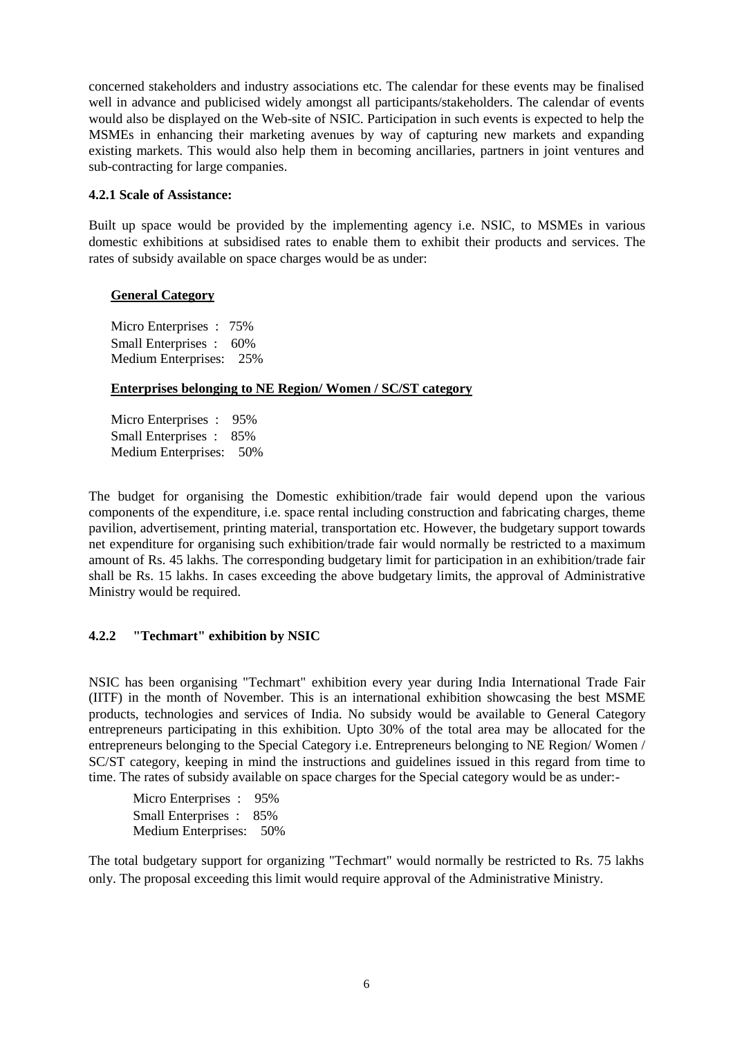concerned stakeholders and industry associations etc. The calendar for these events may be finalised well in advance and publicised widely amongst all participants/stakeholders. The calendar of events would also be displayed on the Web-site of NSIC. Participation in such events is expected to help the MSMEs in enhancing their marketing avenues by way of capturing new markets and expanding existing markets. This would also help them in becoming ancillaries, partners in joint ventures and sub-contracting for large companies.

## **4.2.1 Scale of Assistance:**

Built up space would be provided by the implementing agency i.e. NSIC, to MSMEs in various domestic exhibitions at subsidised rates to enable them to exhibit their products and services. The rates of subsidy available on space charges would be as under:

## **General Category**

Micro Enterprises : 75% Small Enterprises : 60% Medium Enterprises: 25%

### **Enterprises belonging to NE Region/ Women / SC/ST category**

Micro Enterprises : 95% Small Enterprises : 85% Medium Enterprises: 50%

The budget for organising the Domestic exhibition/trade fair would depend upon the various components of the expenditure, i.e. space rental including construction and fabricating charges, theme pavilion, advertisement, printing material, transportation etc. However, the budgetary support towards net expenditure for organising such exhibition/trade fair would normally be restricted to a maximum amount of Rs. 45 lakhs. The corresponding budgetary limit for participation in an exhibition/trade fair shall be Rs. 15 lakhs. In cases exceeding the above budgetary limits, the approval of Administrative Ministry would be required.

# **4.2.2 "Techmart" exhibition by NSIC**

NSIC has been organising "Techmart" exhibition every year during India International Trade Fair (IITF) in the month of November. This is an international exhibition showcasing the best MSME products, technologies and services of India. No subsidy would be available to General Category entrepreneurs participating in this exhibition. Upto 30% of the total area may be allocated for the entrepreneurs belonging to the Special Category i.e. Entrepreneurs belonging to NE Region/ Women / SC/ST category, keeping in mind the instructions and guidelines issued in this regard from time to time. The rates of subsidy available on space charges for the Special category would be as under:-

Micro Enterprises : 95% Small Enterprises : 85% Medium Enterprises: 50%

The total budgetary support for organizing "Techmart" would normally be restricted to Rs. 75 lakhs only. The proposal exceeding this limit would require approval of the Administrative Ministry.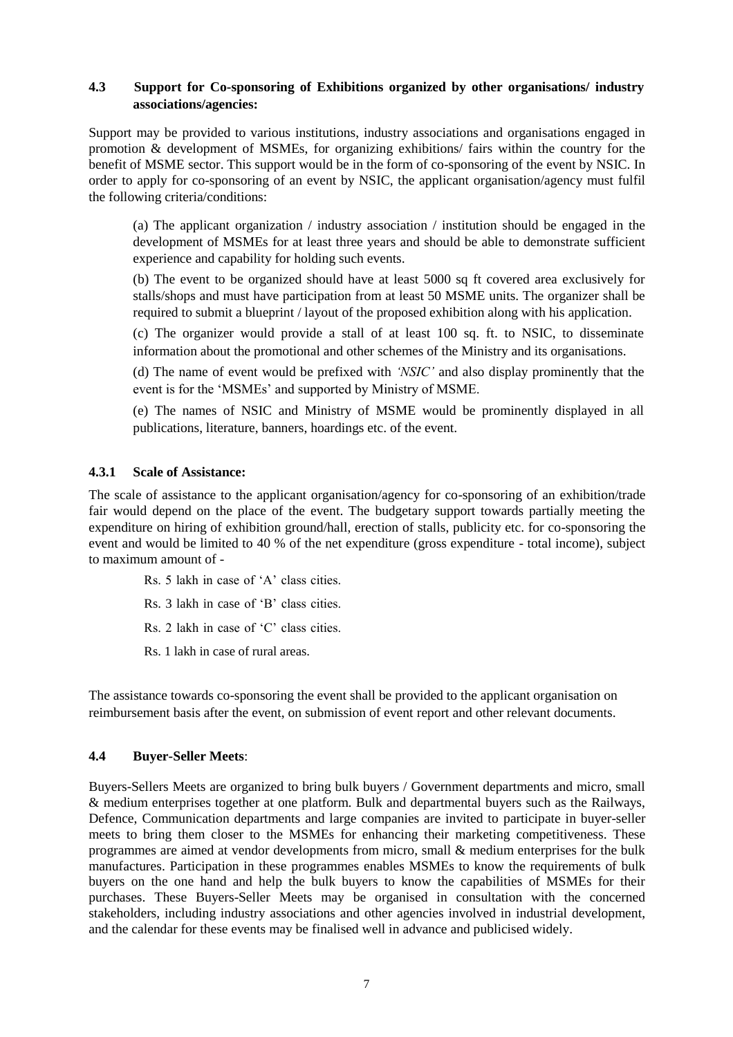## **4.3 Support for Co-sponsoring of Exhibitions organized by other organisations/ industry associations/agencies:**

Support may be provided to various institutions, industry associations and organisations engaged in promotion & development of MSMEs, for organizing exhibitions/ fairs within the country for the benefit of MSME sector. This support would be in the form of co-sponsoring of the event by NSIC. In order to apply for co-sponsoring of an event by NSIC, the applicant organisation/agency must fulfil the following criteria/conditions:

(a) The applicant organization / industry association / institution should be engaged in the development of MSMEs for at least three years and should be able to demonstrate sufficient experience and capability for holding such events.

(b) The event to be organized should have at least 5000 sq ft covered area exclusively for stalls/shops and must have participation from at least 50 MSME units. The organizer shall be required to submit a blueprint / layout of the proposed exhibition along with his application.

(c) The organizer would provide a stall of at least 100 sq. ft. to NSIC, to disseminate information about the promotional and other schemes of the Ministry and its organisations.

(d) The name of event would be prefixed with *'NSIC'* and also display prominently that the event is for the 'MSMEs' and supported by Ministry of MSME.

(e) The names of NSIC and Ministry of MSME would be prominently displayed in all publications, literature, banners, hoardings etc. of the event.

## **4.3.1 Scale of Assistance:**

The scale of assistance to the applicant organisation/agency for co-sponsoring of an exhibition/trade fair would depend on the place of the event. The budgetary support towards partially meeting the expenditure on hiring of exhibition ground/hall, erection of stalls, publicity etc. for co-sponsoring the event and would be limited to 40 % of the net expenditure (gross expenditure - total income), subject to maximum amount of -

Rs. 5 lakh in case of 'A' class cities. Rs. 3 lakh in case of 'B' class cities. Rs. 2 lakh in case of 'C' class cities.

Rs. 1 lakh in case of rural areas.

The assistance towards co-sponsoring the event shall be provided to the applicant organisation on reimbursement basis after the event, on submission of event report and other relevant documents.

# **4.4 Buyer-Seller Meets**:

Buyers-Sellers Meets are organized to bring bulk buyers / Government departments and micro, small & medium enterprises together at one platform. Bulk and departmental buyers such as the Railways, Defence, Communication departments and large companies are invited to participate in buyer-seller meets to bring them closer to the MSMEs for enhancing their marketing competitiveness. These programmes are aimed at vendor developments from micro, small & medium enterprises for the bulk manufactures. Participation in these programmes enables MSMEs to know the requirements of bulk buyers on the one hand and help the bulk buyers to know the capabilities of MSMEs for their purchases. These Buyers-Seller Meets may be organised in consultation with the concerned stakeholders, including industry associations and other agencies involved in industrial development, and the calendar for these events may be finalised well in advance and publicised widely.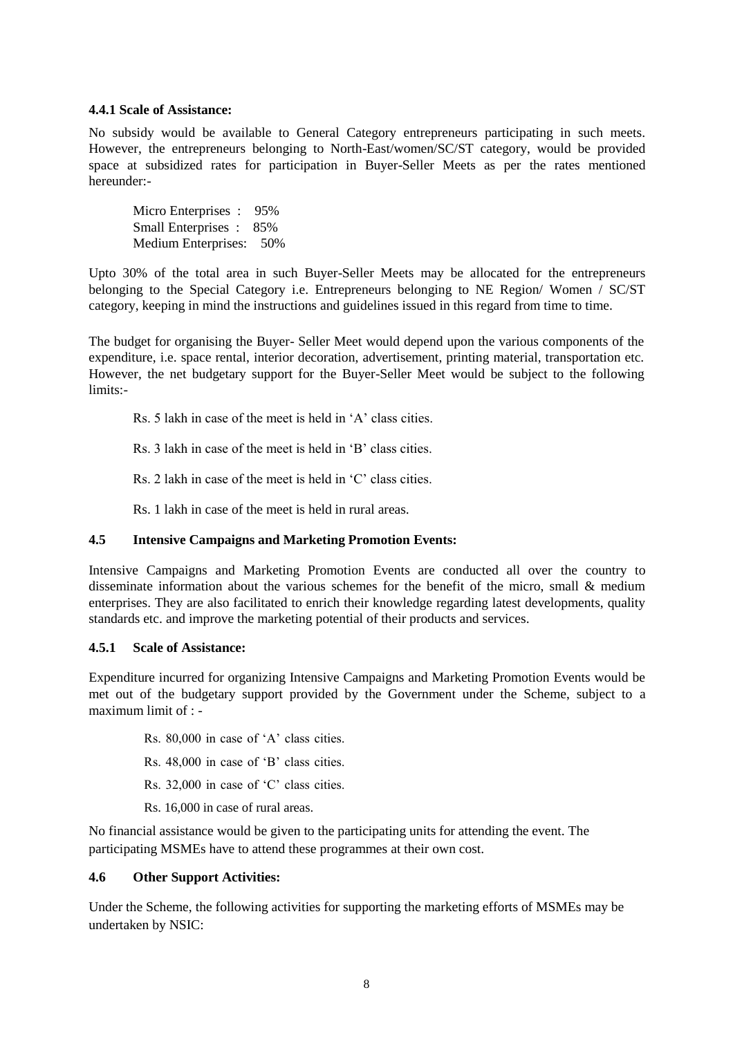### **4.4.1 Scale of Assistance:**

No subsidy would be available to General Category entrepreneurs participating in such meets. However, the entrepreneurs belonging to North-East/women/SC/ST category, would be provided space at subsidized rates for participation in Buyer-Seller Meets as per the rates mentioned hereunder:-

Micro Enterprises : 95% Small Enterprises : 85% Medium Enterprises: 50%

Upto 30% of the total area in such Buyer-Seller Meets may be allocated for the entrepreneurs belonging to the Special Category i.e. Entrepreneurs belonging to NE Region/ Women / SC/ST category, keeping in mind the instructions and guidelines issued in this regard from time to time.

The budget for organising the Buyer- Seller Meet would depend upon the various components of the expenditure, i.e. space rental, interior decoration, advertisement, printing material, transportation etc. However, the net budgetary support for the Buyer-Seller Meet would be subject to the following limits:-

Rs. 5 lakh in case of the meet is held in 'A' class cities.

Rs. 3 lakh in case of the meet is held in 'B' class cities.

Rs. 2 lakh in case of the meet is held in 'C' class cities.

Rs. 1 lakh in case of the meet is held in rural areas.

### **4.5 Intensive Campaigns and Marketing Promotion Events:**

Intensive Campaigns and Marketing Promotion Events are conducted all over the country to disseminate information about the various schemes for the benefit of the micro, small & medium enterprises. They are also facilitated to enrich their knowledge regarding latest developments, quality standards etc. and improve the marketing potential of their products and services.

### **4.5.1 Scale of Assistance:**

Expenditure incurred for organizing Intensive Campaigns and Marketing Promotion Events would be met out of the budgetary support provided by the Government under the Scheme, subject to a maximum limit of : -

- Rs. 80,000 in case of 'A' class cities.
- Rs. 48,000 in case of 'B' class cities.
- Rs. 32,000 in case of 'C' class cities.
- Rs. 16,000 in case of rural areas.

No financial assistance would be given to the participating units for attending the event. The participating MSMEs have to attend these programmes at their own cost.

### **4.6 Other Support Activities:**

Under the Scheme, the following activities for supporting the marketing efforts of MSMEs may be undertaken by NSIC: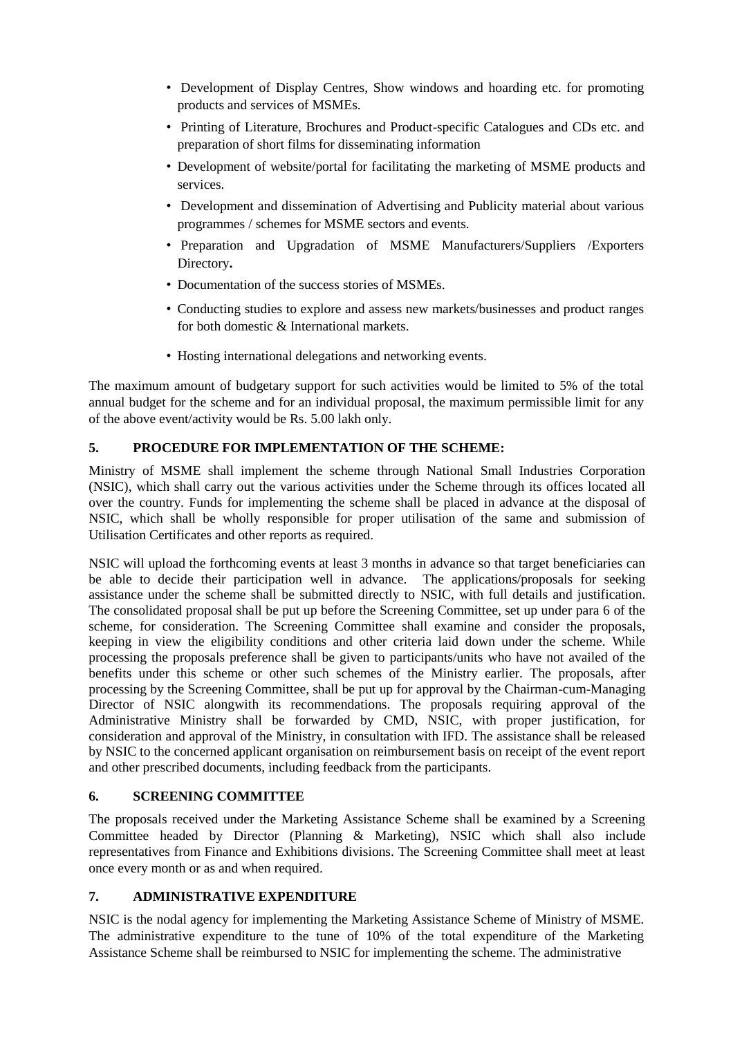- Development of Display Centres, Show windows and hoarding etc. for promoting products and services of MSMEs.
- Printing of Literature, Brochures and Product-specific Catalogues and CDs etc. and preparation of short films for disseminating information
- Development of website/portal for facilitating the marketing of MSME products and services.
- Development and dissemination of Advertising and Publicity material about various programmes / schemes for MSME sectors and events.
- Preparation and Upgradation of MSME Manufacturers/Suppliers /Exporters Directory**.**
- Documentation of the success stories of MSMEs.
- Conducting studies to explore and assess new markets/businesses and product ranges for both domestic & International markets.
- Hosting international delegations and networking events.

The maximum amount of budgetary support for such activities would be limited to 5% of the total annual budget for the scheme and for an individual proposal, the maximum permissible limit for any of the above event/activity would be Rs. 5.00 lakh only.

## **5. PROCEDURE FOR IMPLEMENTATION OF THE SCHEME:**

Ministry of MSME shall implement the scheme through National Small Industries Corporation (NSIC), which shall carry out the various activities under the Scheme through its offices located all over the country. Funds for implementing the scheme shall be placed in advance at the disposal of NSIC, which shall be wholly responsible for proper utilisation of the same and submission of Utilisation Certificates and other reports as required.

NSIC will upload the forthcoming events at least 3 months in advance so that target beneficiaries can be able to decide their participation well in advance. The applications/proposals for seeking assistance under the scheme shall be submitted directly to NSIC, with full details and justification. The consolidated proposal shall be put up before the Screening Committee, set up under para 6 of the scheme, for consideration. The Screening Committee shall examine and consider the proposals, keeping in view the eligibility conditions and other criteria laid down under the scheme. While processing the proposals preference shall be given to participants/units who have not availed of the benefits under this scheme or other such schemes of the Ministry earlier. The proposals, after processing by the Screening Committee, shall be put up for approval by the Chairman-cum-Managing Director of NSIC alongwith its recommendations. The proposals requiring approval of the Administrative Ministry shall be forwarded by CMD, NSIC, with proper justification, for consideration and approval of the Ministry, in consultation with IFD. The assistance shall be released by NSIC to the concerned applicant organisation on reimbursement basis on receipt of the event report and other prescribed documents, including feedback from the participants.

# **6. SCREENING COMMITTEE**

The proposals received under the Marketing Assistance Scheme shall be examined by a Screening Committee headed by Director (Planning & Marketing), NSIC which shall also include representatives from Finance and Exhibitions divisions. The Screening Committee shall meet at least once every month or as and when required.

# **7. ADMINISTRATIVE EXPENDITURE**

NSIC is the nodal agency for implementing the Marketing Assistance Scheme of Ministry of MSME. The administrative expenditure to the tune of 10% of the total expenditure of the Marketing Assistance Scheme shall be reimbursed to NSIC for implementing the scheme. The administrative